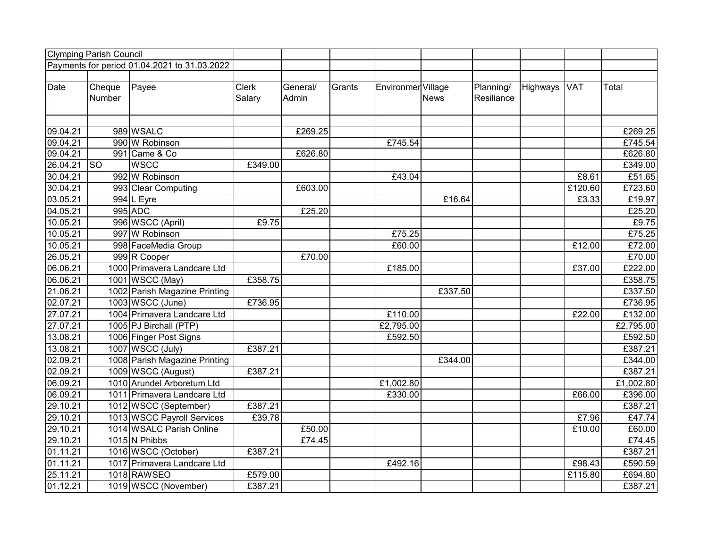| <b>Clymping Parish Council</b>               |                         |                               |                        |                   |        |                    |             |                         |          |            |           |
|----------------------------------------------|-------------------------|-------------------------------|------------------------|-------------------|--------|--------------------|-------------|-------------------------|----------|------------|-----------|
| Payments for period 01.04.2021 to 31.03.2022 |                         |                               |                        |                   |        |                    |             |                         |          |            |           |
|                                              |                         |                               |                        |                   |        |                    |             |                         |          |            |           |
| Date                                         | Cheque<br><b>Number</b> | Payee                         | <b>Clerk</b><br>Salary | General/<br>Admin | Grants | Environmer Village | <b>News</b> | Planning/<br>Resiliance | Highways | <b>VAT</b> | Total     |
|                                              |                         |                               |                        |                   |        |                    |             |                         |          |            |           |
| 09.04.21                                     |                         | 989 WSALC                     |                        | £269.25           |        |                    |             |                         |          |            | £269.25   |
| 09.04.21                                     |                         | 990 W Robinson                |                        |                   |        | £745.54            |             |                         |          |            | £745.54   |
| 09.04.21                                     |                         | 991 Came & Co                 |                        | £626.80           |        |                    |             |                         |          |            | £626.80   |
| 26.04.21                                     | <b>SO</b>               | <b>WSCC</b>                   | £349.00                |                   |        |                    |             |                         |          |            | £349.00   |
| 30.04.21                                     |                         | 992 W Robinson                |                        |                   |        | £43.04             |             |                         |          | £8.61      | £51.65    |
| 30.04.21                                     |                         | 993 Clear Computing           |                        | £603.00           |        |                    |             |                         |          | £120.60    | £723.60   |
| 03.05.21                                     |                         | 994 L Eyre                    |                        |                   |        |                    | £16.64      |                         |          | £3.33      | £19.97    |
| 04.05.21                                     |                         | 995 ADC                       |                        | £25.20            |        |                    |             |                         |          |            | £25.20    |
| 10.05.21                                     |                         | 996 WSCC (April)              | £9.75                  |                   |        |                    |             |                         |          |            | £9.75     |
| 10.05.21                                     |                         | 997 W Robinson                |                        |                   |        | £75.25             |             |                         |          |            | £75.25    |
| 10.05.21                                     |                         | 998 FaceMedia Group           |                        |                   |        | £60.00             |             |                         |          | £12.00     | £72.00    |
| 26.05.21                                     |                         | 999 R Cooper                  |                        | £70.00            |        |                    |             |                         |          |            | £70.00    |
| 06.06.21                                     |                         | 1000 Primavera Landcare Ltd   |                        |                   |        | £185.00            |             |                         |          | £37.00     | £222.00   |
| 06.06.21                                     |                         | 1001 WSCC (May)               | £358.75                |                   |        |                    |             |                         |          |            | £358.75   |
| 21.06.21                                     |                         | 1002 Parish Magazine Printing |                        |                   |        |                    | £337.50     |                         |          |            | £337.50   |
| 02.07.21                                     |                         | 1003 WSCC (June)              | £736.95                |                   |        |                    |             |                         |          |            | £736.95   |
| 27.07.21                                     |                         | 1004 Primavera Landcare Ltd   |                        |                   |        | £110.00            |             |                         |          | £22.00     | £132.00   |
| 27.07.21                                     |                         | 1005 PJ Birchall (PTP)        |                        |                   |        | £2,795.00          |             |                         |          |            | £2,795.00 |
| 13.08.21                                     |                         | 1006 Finger Post Signs        |                        |                   |        | £592.50            |             |                         |          |            | £592.50   |
| 13.08.21                                     |                         | 1007 WSCC (July)              | £387.21                |                   |        |                    |             |                         |          |            | £387.21   |
| 02.09.21                                     |                         | 1008 Parish Magazine Printing |                        |                   |        |                    | £344.00     |                         |          |            | £344.00   |
| 02.09.21                                     |                         | 1009 WSCC (August)            | £387.21                |                   |        |                    |             |                         |          |            | £387.21   |
| 06.09.21                                     |                         | 1010 Arundel Arboretum Ltd    |                        |                   |        | £1,002.80          |             |                         |          |            | £1,002.80 |
| 06.09.21                                     |                         | 1011 Primavera Landcare Ltd   |                        |                   |        | £330.00            |             |                         |          | £66.00     | £396.00   |
| 29.10.21                                     |                         | 1012 WSCC (September)         | £387.21                |                   |        |                    |             |                         |          |            | £387.21   |
| 29.10.21                                     |                         | 1013 WSCC Payroll Services    | £39.78                 |                   |        |                    |             |                         |          | £7.96      | £47.74    |
| 29.10.21                                     |                         | 1014 WSALC Parish Online      |                        | £50.00            |        |                    |             |                         |          | £10.00     | £60.00    |
| 29.10.21                                     |                         | 1015 N Phibbs                 |                        | £74.45            |        |                    |             |                         |          |            | £74.45    |
| 01.11.21                                     |                         | 1016 WSCC (October)           | £387.21                |                   |        |                    |             |                         |          |            | £387.21   |
| 01.11.21                                     |                         | 1017 Primavera Landcare Ltd   |                        |                   |        | £492.16            |             |                         |          | £98.43     | £590.59   |
| 25.11.21                                     |                         | 1018 RAWSEO                   | £579.00                |                   |        |                    |             |                         |          | E115.80    | £694.80   |
| 01.12.21                                     |                         | 1019 WSCC (November)          | £387.21                |                   |        |                    |             |                         |          |            | £387.21   |